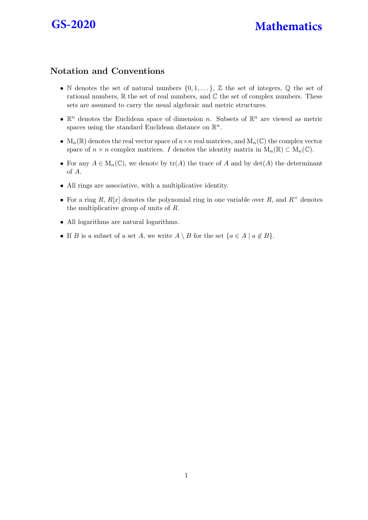

## **GS-2020 Mathematics**

## Notation and Conventions

- N denotes the set of natural numbers  $\{0, 1, \ldots\}$ ,  $\mathbb Z$  the set of integers,  $\mathbb Q$  the set of rational numbers,  $\mathbb R$  the set of real numbers, and  $\mathbb C$  the set of complex numbers. These sets are assumed to carry the usual algebraic and metric structures.
- $\mathbb{R}^n$  denotes the Euclidean space of dimension n. Subsets of  $\mathbb{R}^n$  are viewed as metric spaces using the standard Euclidean distance on  $\mathbb{R}^n$ .
- $M_n(\mathbb{R})$  denotes the real vector space of  $n \times n$  real matrices, and  $M_n(\mathbb{C})$  the complex vector space of  $n \times n$  complex matrices. I denotes the identity matrix in  $M_n(\mathbb{R}) \subset M_n(\mathbb{C})$ .
- For any  $A \in M_n(\mathbb{C})$ , we denote by  $\text{tr}(A)$  the trace of A and by  $\det(A)$  the determinant of A.
- All rings are associative, with a multiplicative identity.
- For a ring R,  $R[x]$  denotes the polynomial ring in one variable over R, and  $R^{\times}$  denotes the multiplicative group of units of R.
- All logarithms are natural logarithms.
- If B is a subset of a set A, we write  $A \setminus B$  for the set  $\{a \in A \mid a \notin B\}$ .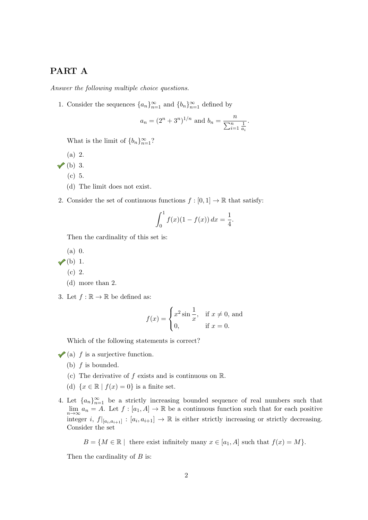## PART A

Answer the following multiple choice questions.

1. Consider the sequences  $\{a_n\}_{n=1}^{\infty}$  and  $\{b_n\}_{n=1}^{\infty}$  defined by

$$
a_n = (2^n + 3^n)^{1/n}
$$
 and  $b_n = \frac{n}{\sum_{i=1}^n \frac{1}{a_i}}$ .

What is the limit of  ${b_n}_{n=1}^{\infty}$ ?

- (a) 2.
- $\checkmark$  (b) 3.
	- (c) 5.
	- (d) The limit does not exist.
- 2. Consider the set of continuous functions  $f : [0,1] \to \mathbb{R}$  that satisfy:

$$
\int_0^1 f(x)(1 - f(x)) dx = \frac{1}{4}.
$$

Then the cardinality of this set is:

- (a) 0.
- $\checkmark$ (b) 1.
	- (c) 2.
	- (d) more than 2.
- 3. Let  $f : \mathbb{R} \to \mathbb{R}$  be defined as:

$$
f(x) = \begin{cases} x^2 \sin \frac{1}{x}, & \text{if } x \neq 0, \text{ and} \\ 0, & \text{if } x = 0. \end{cases}
$$

Which of the following statements is correct?

- $\blacktriangleright$  (a) f is a surjective function.
	- (b) f is bounded.
	- (c) The derivative of f exists and is continuous on  $\mathbb R$ .
	- (d)  $\{x \in \mathbb{R} \mid f(x) = 0\}$  is a finite set.
- 4. Let  ${a_n}_{n=1}^{\infty}$  be a strictly increasing bounded sequence of real numbers such that  $\lim_{n\to\infty} a_n = A$ . Let  $f : [a_1, A] \to \mathbb{R}$  be a continuous function such that for each positive integer *i*,  $f|_{[a_i,a_{i+1}]}:[a_i,a_{i+1}] \to \mathbb{R}$  is either strictly increasing or strictly decreasing. Consider the set

 $B = \{M \in \mathbb{R} \mid \text{there exist infinitely many } x \in [a_1, A] \text{ such that } f(x) = M\}.$ 

Then the cardinality of  $B$  is: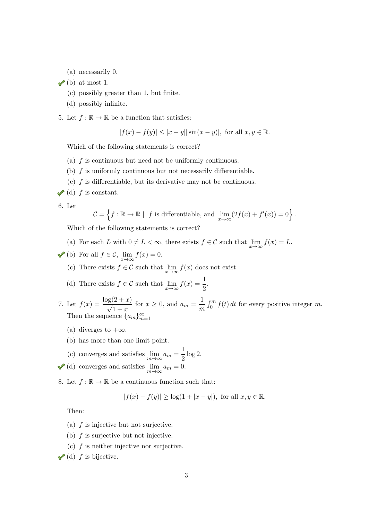- (a) necessarily 0.
- $\checkmark$  (b) at most 1.
	- (c) possibly greater than 1, but finite.
	- (d) possibly infinite.
- 5. Let  $f : \mathbb{R} \to \mathbb{R}$  be a function that satisfies:

$$
|f(x) - f(y)| \le |x - y| |\sin(x - y)|
$$
, for all  $x, y \in \mathbb{R}$ .

Which of the following statements is correct?

- (a)  $f$  is continuous but need not be uniformly continuous.
- (b)  $f$  is uniformly continuous but not necessarily differentiable.
- (c)  $f$  is differentiable, but its derivative may not be continuous.
- $\blacktriangleright$  (d) f is constant.

6. Let

$$
\mathcal{C} = \left\{ f : \mathbb{R} \to \mathbb{R} \mid f \text{ is differentiable, and } \lim_{x \to \infty} (2f(x) + f'(x)) = 0 \right\}.
$$

Which of the following statements is correct?

- (a) For each L with  $0 \neq L < \infty$ , there exists  $f \in C$  such that  $\lim_{x \to \infty} f(x) = L$ .
- (b) For all  $f \in \mathcal{C}$ ,  $\lim_{x \to \infty} f(x) = 0$ .
	- (c) There exists  $f \in \mathcal{C}$  such that  $\lim_{x \to \infty} f(x)$  does not exist.
	- (d) There exists  $f \in \mathcal{C}$  such that  $\lim_{x \to \infty} f(x) = \frac{1}{2}$ .

7. Let  $f(x) = \frac{\log(2+x)}{x}$  $\frac{(2+x)}{1+x}$  for  $x \ge 0$ , and  $a_m = \frac{1}{m}$ m  $\int_0^m f(t) dt$  for every positive integer m. Then the sequence  ${a_m}_{m=1}^{\infty}$ 

- (a) diverges to  $+\infty$ .
- (b) has more than one limit point.
- (c) converges and satisfies  $\lim_{m \to \infty} a_m = \frac{1}{2}$  $\frac{1}{2} \log 2.$ (d) converges and satisfies  $\lim_{m \to \infty} a_m = 0$ .
- 8. Let  $f : \mathbb{R} \to \mathbb{R}$  be a continuous function such that:

$$
|f(x) - f(y)| \ge \log(1 + |x - y|)
$$
, for all  $x, y \in \mathbb{R}$ .

Then:

- (a)  $f$  is injective but not surjective.
- (b)  $f$  is surjective but not injective.
- (c)  $f$  is neither injective nor surjective.

 $\checkmark$  (d) f is bijective.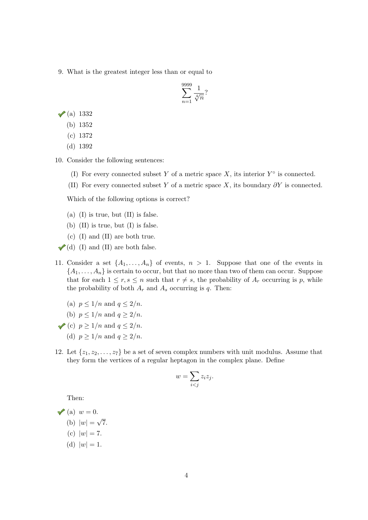9. What is the greatest integer less than or equal to

$$
\sum_{n=1}^{9999} \frac{1}{\sqrt[4]{n}}?
$$

 $\sqrt{a}$  1332

- (b) 1352
- (c) 1372
- (d) 1392
- 10. Consider the following sentences:
	- (I) For every connected subset Y of a metric space X, its interior  $Y^{\circ}$  is connected.
	- (II) For every connected subset Y of a metric space X, its boundary  $\partial Y$  is connected.

Which of the following options is correct?

- (a) (I) is true, but  $(II)$  is false.
- (b) (II) is true, but (I) is false.
- (c) (I) and (II) are both true.
- $\blacktriangleright$  (d) (I) and (II) are both false.
- 11. Consider a set  $\{A_1, \ldots, A_n\}$  of events,  $n > 1$ . Suppose that one of the events in  $\{A_1, \ldots, A_n\}$  is certain to occur, but that no more than two of them can occur. Suppose that for each  $1 \leq r, s \leq n$  such that  $r \neq s$ , the probability of  $A_r$  occurring is p, while the probability of both  $A_r$  and  $A_s$  occurring is q. Then:
	- (a)  $p \leq 1/n$  and  $q \leq 2/n$ .
	- (b)  $p \leq 1/n$  and  $q \geq 2/n$ .
- (c)  $p \geq 1/n$  and  $q \leq 2/n$ .
	- (d)  $p > 1/n$  and  $q > 2/n$ .
- 12. Let  $\{z_1, z_2, \ldots, z_7\}$  be a set of seven complex numbers with unit modulus. Assume that they form the vertices of a regular heptagon in the complex plane. Define

$$
w = \sum_{i < j} z_i z_j.
$$

Then:

- $\mathcal{V}(a)$   $w = 0$ .
	- (b)  $|w| =$ √ 7.
	- (c)  $|w| = 7$ .
	- (d)  $|w| = 1$ .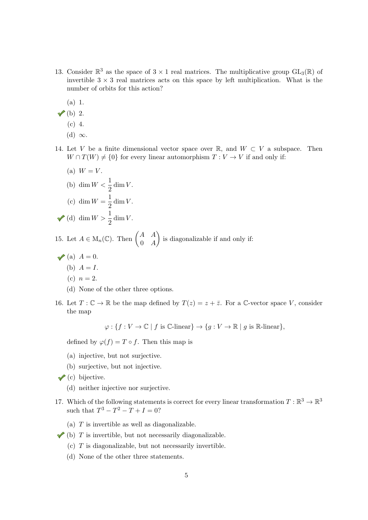- 13. Consider  $\mathbb{R}^3$  as the space of  $3 \times 1$  real matrices. The multiplicative group  $GL_3(\mathbb{R})$  of invertible  $3 \times 3$  real matrices acts on this space by left multiplication. What is the number of orbits for this action?
	- (a) 1.
- $\checkmark$  (b) 2.
	- (c) 4.
	- (d)  $\infty$ .
- 14. Let V be a finite dimensional vector space over R, and  $W \subset V$  a subspace. Then  $W \cap T(W) \neq \{0\}$  for every linear automorphism  $T: V \to V$  if and only if:
	- (a)  $W = V$ . (b)  $\dim W < \frac{1}{2} \dim V$ . (c) dim  $W = \frac{1}{2}$  $rac{1}{2}$  dim V. (d) dim  $W > \frac{1}{2}$  dim V.

15. Let  $A \in M_n(\mathbb{C})$ . Then  $\begin{pmatrix} A & A \\ 0 & A \end{pmatrix}$  $0 \quad A$ ) is diagonalizable if and only if:

- $\blacktriangleright$  (a)  $A = 0$ .
	- (b)  $A = I$ .
	- (c)  $n = 2$ .
	- (d) None of the other three options.
- 16. Let  $T: \mathbb{C} \to \mathbb{R}$  be the map defined by  $T(z) = z + \overline{z}$ . For a C-vector space V, consider the map

 $\varphi: \{f: V \to \mathbb{C} \mid f \text{ is } \mathbb{C}\text{-linear}\}\to \{g: V \to \mathbb{R} \mid g \text{ is } \mathbb{R}\text{-linear}\},\$ 

defined by  $\varphi(f) = T \circ f$ . Then this map is

- (a) injective, but not surjective.
- (b) surjective, but not injective.
- $\checkmark$  (c) bijective.
	- (d) neither injective nor surjective.
- 17. Which of the following statements is correct for every linear transformation  $T : \mathbb{R}^3 \to \mathbb{R}^3$ such that  $T^3 - T^2 - T + I = 0$ ?
	- (a)  $T$  is invertible as well as diagonalizable.
- $\blacktriangleright$  (b) T is invertible, but not necessarily diagonalizable.
	- $(c)$  T is diagonalizable, but not necessarily invertible.
	- (d) None of the other three statements.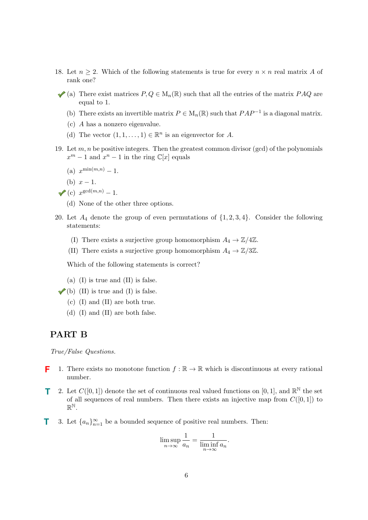- 18. Let  $n \geq 2$ . Which of the following statements is true for every  $n \times n$  real matrix A of rank one?
- (a) There exist matrices  $P, Q \in M_n(\mathbb{R})$  such that all the entries of the matrix  $P A Q$  are equal to 1.
	- (b) There exists an invertible matrix  $P \in M_n(\mathbb{R})$  such that  $PAP^{-1}$  is a diagonal matrix.
	- (c) A has a nonzero eigenvalue.
	- (d) The vector  $(1, 1, \ldots, 1) \in \mathbb{R}^n$  is an eigenvector for A.
- 19. Let  $m, n$  be positive integers. Then the greatest common divisor (gcd) of the polynomials  $x^m - 1$  and  $x^n - 1$  in the ring  $\mathbb{C}[x]$  equals
	- (a)  $x^{\min(m,n)} 1$ .
	- (b)  $x 1$ .

$$
\sqrt{\left( \text{c} \right) \ x^{\gcd(m,n)}} - 1.
$$

- (d) None of the other three options.
- 20. Let  $A_4$  denote the group of even permutations of  $\{1, 2, 3, 4\}$ . Consider the following statements:
	- (I) There exists a surjective group homomorphism  $A_4 \to \mathbb{Z}/4\mathbb{Z}$ .
	- (II) There exists a surjective group homomorphism  $A_4 \to \mathbb{Z}/3\mathbb{Z}$ .

Which of the following statements is correct?

- (a) (I) is true and (II) is false.
- $\checkmark$  (b) (II) is true and (I) is false.
	- (c) (I) and (II) are both true.
	- (d) (I) and (II) are both false.

## PART B

True/False Questions.

- 1. There exists no monotone function  $f : \mathbb{R} \to \mathbb{R}$  which is discontinuous at every rational number. **F**
- 2. Let  $C([0,1])$  denote the set of continuous real valued functions on [0, 1], and  $\mathbb{R}^{\mathbb{N}}$  the set of all sequences of real numbers. Then there exists an injective map from  $C([0, 1])$  to  $\mathbb{R}^{\mathbb{N}}$  . **T**
- 3. Let  ${a_n}_{n=1}^{\infty}$  be a bounded sequence of positive real numbers. Then: **T**

$$
\limsup_{n \to \infty} \frac{1}{a_n} = \frac{1}{\liminf_{n \to \infty} a_n}.
$$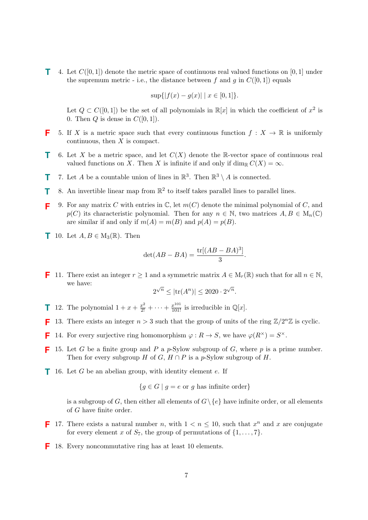**T** 4. Let  $C([0,1])$  denote the metric space of continuous real valued functions on  $[0,1]$  under the supremum metric - i.e., the distance between f and g in  $C([0, 1])$  equals

$$
\sup\{|f(x) - g(x)| \mid x \in [0, 1]\}.
$$

Let  $Q \subset C([0,1])$  be the set of all polynomials in  $\mathbb{R}[x]$  in which the coefficient of  $x^2$  is 0. Then  $Q$  is dense in  $C([0, 1])$ .

- 5. If X is a metric space such that every continuous function  $f: X \to \mathbb{R}$  is uniformly continuous, then  $X$  is compact. **F**
- 6. Let X be a metric space, and let  $C(X)$  denote the R-vector space of continuous real valued functions on X. Then X is infinite if and only if  $\dim_{\mathbb{R}} C(X) = \infty$ . **T**
- 7. Let A be a countable union of lines in  $\mathbb{R}^3$ . Then  $\mathbb{R}^3 \setminus A$  is connected. **T**
- 8. An invertible linear map from  $\mathbb{R}^2$  to itself takes parallel lines to parallel lines. **T**
- 9. For any matrix C with entries in  $\mathbb{C}$ , let  $m(C)$  denote the minimal polynomial of C, and  $p(C)$  its characteristic polynomial. Then for any  $n \in \mathbb{N}$ , two matrices  $A, B \in M_n(\mathbb{C})$ are similar if and only if  $m(A) = m(B)$  and  $p(A) = p(B)$ . **F**
- **T** 10. Let  $A, B \in M_3(\mathbb{R})$ . Then

$$
\det(AB - BA) = \frac{\text{tr}[(AB - BA)^3]}{3}.
$$

**F** 11. There exist an integer  $r \ge 1$  and a symmetric matrix  $A \in M_r(\mathbb{R})$  such that for all  $n \in \mathbb{N}$ , we have: √ √

$$
2^{\sqrt{n}} \le |\text{tr}(A^n)| \le 2020 \cdot 2^{\sqrt{n}}.
$$

- **1** 12. The polynomial  $1 + x + \frac{x^2}{2!} + \cdots + \frac{x^{101}}{101!}$  is irreducible in  $\mathbb{Q}[x]$ .
- 13. There exists an integer  $n > 3$  such that the group of units of the ring  $\mathbb{Z}/2^n\mathbb{Z}$  is cyclic. **F**
- 14. For every surjective ring homomorphism  $\varphi : R \to S$ , we have  $\varphi(R^{\times}) = S^{\times}$ . **F**
- **F** 15. Let G be a finite group and P a p-Sylow subgroup of G, where p is a prime number. Then for every subgroup H of G,  $H \cap P$  is a p-Sylow subgroup of H.
- **1** 16. Let  $G$  be an abelian group, with identity element  $e$ . If

$$
\{g \in G \mid g = e \text{ or } g \text{ has infinite order}\}\
$$

is a subgroup of G, then either all elements of  $G \setminus \{e\}$  have infinite order, or all elements of G have finite order.

- **F** 17. There exists a natural number n, with  $1 < n \leq 10$ , such that  $x^n$  and x are conjugate for every element x of  $S_7$ , the group of permutations of  $\{1, \ldots, 7\}$ .
- 18. Every noncommutative ring has at least 10 elements. **F**